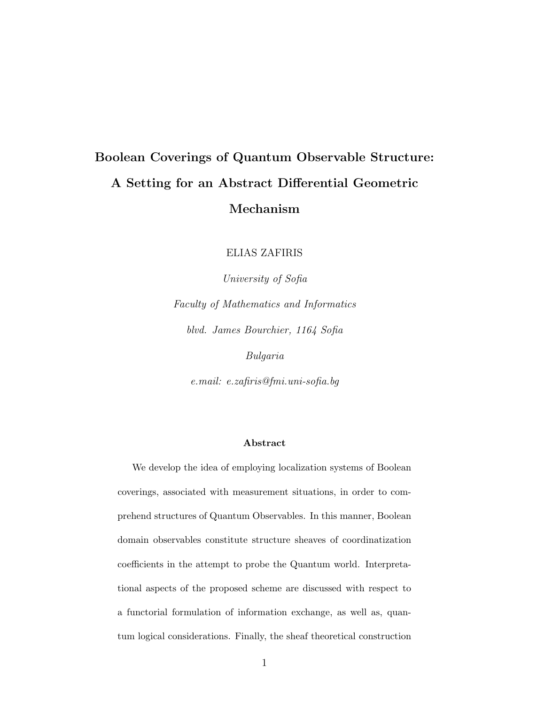## Boolean Coverings of Quantum Observable Structure: A Setting for an Abstract Differential Geometric Mechanism

ELIAS ZAFIRIS

University of Sofia Faculty of Mathematics and Informatics blvd. James Bourchier, 1164 Sofia Bulgaria

e.mail: e.zafiris@fmi.uni-sofia.bg

#### Abstract

We develop the idea of employing localization systems of Boolean coverings, associated with measurement situations, in order to comprehend structures of Quantum Observables. In this manner, Boolean domain observables constitute structure sheaves of coordinatization coefficients in the attempt to probe the Quantum world. Interpretational aspects of the proposed scheme are discussed with respect to a functorial formulation of information exchange, as well as, quantum logical considerations. Finally, the sheaf theoretical construction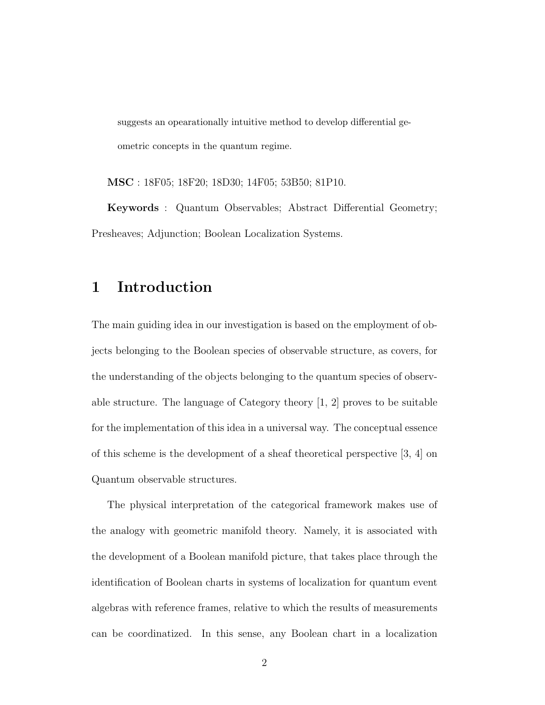suggests an opearationally intuitive method to develop differential geometric concepts in the quantum regime.

MSC : 18F05; 18F20; 18D30; 14F05; 53B50; 81P10.

Keywords : Quantum Observables; Abstract Differential Geometry; Presheaves; Adjunction; Boolean Localization Systems.

### 1 Introduction

The main guiding idea in our investigation is based on the employment of objects belonging to the Boolean species of observable structure, as covers, for the understanding of the objects belonging to the quantum species of observable structure. The language of Category theory [1, 2] proves to be suitable for the implementation of this idea in a universal way. The conceptual essence of this scheme is the development of a sheaf theoretical perspective [3, 4] on Quantum observable structures.

The physical interpretation of the categorical framework makes use of the analogy with geometric manifold theory. Namely, it is associated with the development of a Boolean manifold picture, that takes place through the identification of Boolean charts in systems of localization for quantum event algebras with reference frames, relative to which the results of measurements can be coordinatized. In this sense, any Boolean chart in a localization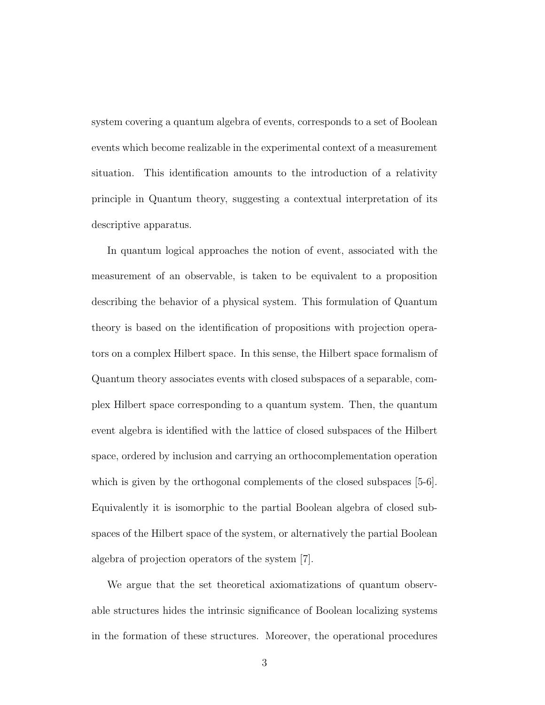system covering a quantum algebra of events, corresponds to a set of Boolean events which become realizable in the experimental context of a measurement situation. This identification amounts to the introduction of a relativity principle in Quantum theory, suggesting a contextual interpretation of its descriptive apparatus.

In quantum logical approaches the notion of event, associated with the measurement of an observable, is taken to be equivalent to a proposition describing the behavior of a physical system. This formulation of Quantum theory is based on the identification of propositions with projection operators on a complex Hilbert space. In this sense, the Hilbert space formalism of Quantum theory associates events with closed subspaces of a separable, complex Hilbert space corresponding to a quantum system. Then, the quantum event algebra is identified with the lattice of closed subspaces of the Hilbert space, ordered by inclusion and carrying an orthocomplementation operation which is given by the orthogonal complements of the closed subspaces [5-6]. Equivalently it is isomorphic to the partial Boolean algebra of closed subspaces of the Hilbert space of the system, or alternatively the partial Boolean algebra of projection operators of the system [7].

We argue that the set theoretical axiomatizations of quantum observable structures hides the intrinsic significance of Boolean localizing systems in the formation of these structures. Moreover, the operational procedures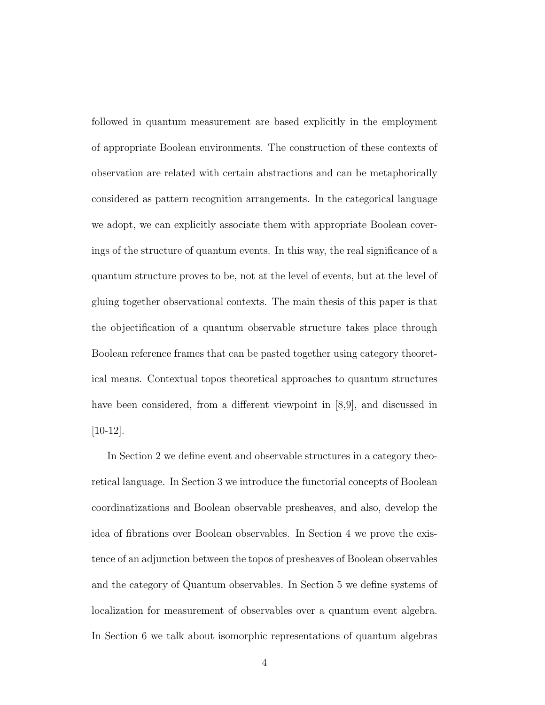followed in quantum measurement are based explicitly in the employment of appropriate Boolean environments. The construction of these contexts of observation are related with certain abstractions and can be metaphorically considered as pattern recognition arrangements. In the categorical language we adopt, we can explicitly associate them with appropriate Boolean coverings of the structure of quantum events. In this way, the real significance of a quantum structure proves to be, not at the level of events, but at the level of gluing together observational contexts. The main thesis of this paper is that the objectification of a quantum observable structure takes place through Boolean reference frames that can be pasted together using category theoretical means. Contextual topos theoretical approaches to quantum structures have been considered, from a different viewpoint in [8,9], and discussed in [10-12].

In Section 2 we define event and observable structures in a category theoretical language. In Section 3 we introduce the functorial concepts of Boolean coordinatizations and Boolean observable presheaves, and also, develop the idea of fibrations over Boolean observables. In Section 4 we prove the existence of an adjunction between the topos of presheaves of Boolean observables and the category of Quantum observables. In Section 5 we define systems of localization for measurement of observables over a quantum event algebra. In Section 6 we talk about isomorphic representations of quantum algebras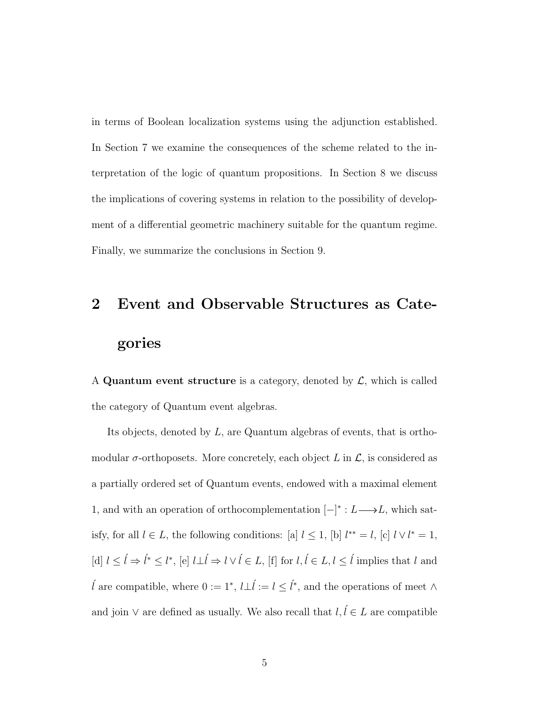in terms of Boolean localization systems using the adjunction established. In Section 7 we examine the consequences of the scheme related to the interpretation of the logic of quantum propositions. In Section 8 we discuss the implications of covering systems in relation to the possibility of development of a differential geometric machinery suitable for the quantum regime. Finally, we summarize the conclusions in Section 9.

# 2 Event and Observable Structures as Categories

A Quantum event structure is a category, denoted by  $\mathcal{L}$ , which is called the category of Quantum event algebras.

Its objects, denoted by L, are Quantum algebras of events, that is orthomodular  $\sigma$ -orthoposets. More concretely, each object L in  $\mathcal{L}$ , is considered as a partially ordered set of Quantum events, endowed with a maximal element 1, and with an operation of orthocomplementation  $[-]^* : L \longrightarrow L$ , which satisfy, for all  $l \in L$ , the following conditions: [a]  $l \leq 1$ , [b]  $l^{**} = l$ , [c]  $l \vee l^* = 1$ , [d]  $l \leq \hat{l} \Rightarrow \hat{l}^* \leq l^*$ , [e]  $l \perp \hat{l} \Rightarrow l \vee \hat{l} \in L$ , [f] for  $l, \hat{l} \in L, l \leq \hat{l}$  implies that  $l$  and  $\hat{l}$  are compatible, where 0 := 1<sup>∗</sup>,  $l \perp \hat{l} := l \leq \hat{l}$ <sup>∗</sup>, and the operations of meet ∧ and join ∨ are defined as usually. We also recall that  $l, l \in L$  are compatible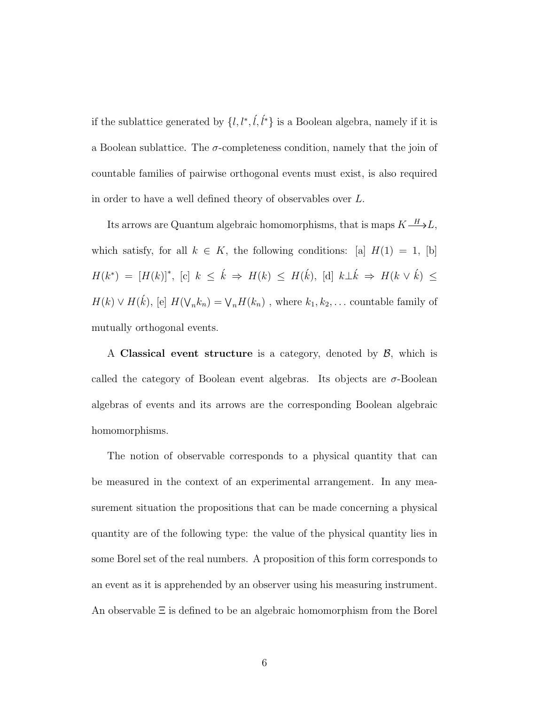if the sublattice generated by  $\{l, l^*, l, l^*\}$  is a Boolean algebra, namely if it is a Boolean sublattice. The  $\sigma$ -completeness condition, namely that the join of countable families of pairwise orthogonal events must exist, is also required in order to have a well defined theory of observables over L.

Its arrows are Quantum algebraic homomorphisms, that is maps  $K \mathop{\longrightarrow}^{\textstyle H} L,$ which satisfy, for all  $k \in K$ , the following conditions: [a]  $H(1) = 1$ , [b]  $H(k^*) = [H(k)]^*, [c] \; k \leq \hat{k} \Rightarrow H(k) \leq H(\hat{k}), [d] \; k \perp \hat{k} \Rightarrow H(k \vee \hat{k}) \leq$  $H(k) \vee H(\vec{k}),$  [e]  $H(\nabla_n k_n) = \nabla_n H(k_n)$ , where  $k_1, k_2, \ldots$  countable family of mutually orthogonal events.

A Classical event structure is a category, denoted by  $\beta$ , which is called the category of Boolean event algebras. Its objects are  $\sigma$ -Boolean algebras of events and its arrows are the corresponding Boolean algebraic homomorphisms.

The notion of observable corresponds to a physical quantity that can be measured in the context of an experimental arrangement. In any measurement situation the propositions that can be made concerning a physical quantity are of the following type: the value of the physical quantity lies in some Borel set of the real numbers. A proposition of this form corresponds to an event as it is apprehended by an observer using his measuring instrument. An observable Ξ is defined to be an algebraic homomorphism from the Borel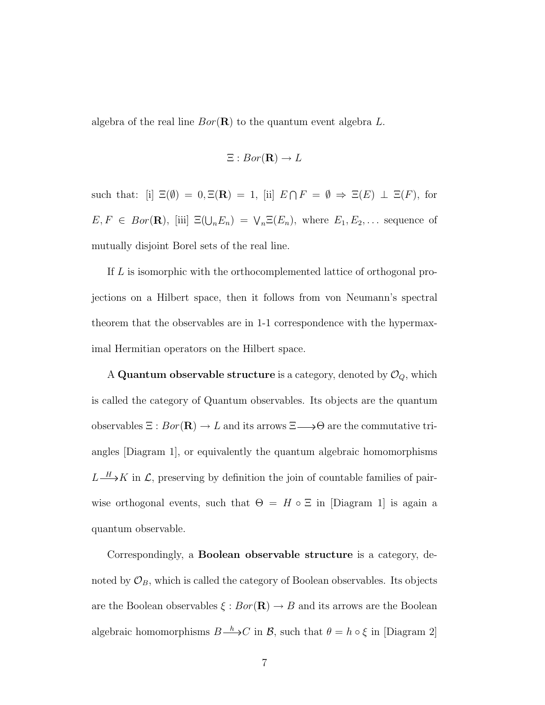algebra of the real line  $Bor(\mathbf{R})$  to the quantum event algebra L.

$$
\Xi: Bor(\mathbf{R}) \to L
$$

such that: [i]  $\Xi(\emptyset) = 0, \Xi(\mathbf{R}) = 1$ , [ii]  $E \cap F = \emptyset \Rightarrow \Xi(E) \perp \Xi(F)$ , for  $E, F \in Bor(\mathbf{R}),$  [iii]  $\Xi(\bigcup_n E_n) = \bigvee_n \Xi(E_n)$ , where  $E_1, E_2, \dots$  sequence of mutually disjoint Borel sets of the real line.

If L is isomorphic with the orthocomplemented lattice of orthogonal projections on a Hilbert space, then it follows from von Neumann's spectral theorem that the observables are in 1-1 correspondence with the hypermaximal Hermitian operators on the Hilbert space.

A Quantum observable structure is a category, denoted by  $\mathcal{O}_Q$ , which is called the category of Quantum observables. Its objects are the quantum observables  $\Xi : Bor(\mathbf{R}) \to L$  and its arrows  $\Xi \longrightarrow \Theta$  are the commutative triangles [Diagram 1], or equivalently the quantum algebraic homomorphisms  $L \longrightarrow K$  in  $\mathcal{L}$ , preserving by definition the join of countable families of pairwise orthogonal events, such that  $\Theta = H \circ \Xi$  in [Diagram 1] is again a quantum observable.

Correspondingly, a Boolean observable structure is a category, denoted by  $\mathcal{O}_B$ , which is called the category of Boolean observables. Its objects are the Boolean observables  $\xi : Bor(\mathbf{R}) \to B$  and its arrows are the Boolean algebraic homomorphisms  $B \xrightarrow{h} C$  in  $\mathcal{B}$ , such that  $\theta = h \circ \xi$  in [Diagram 2]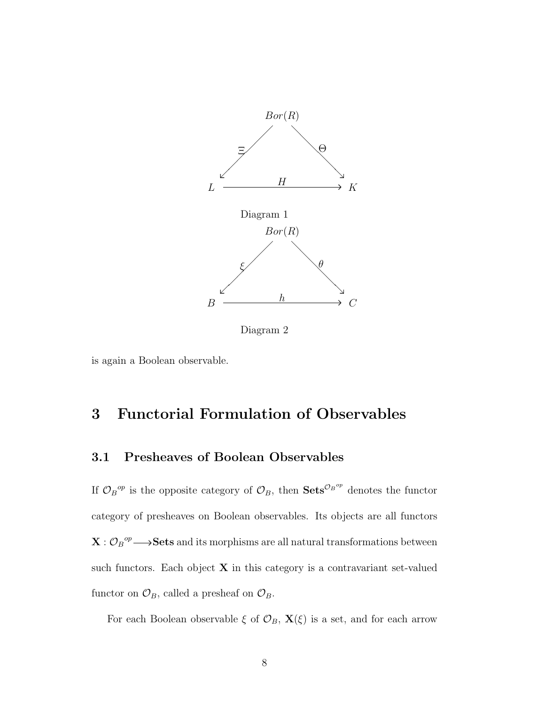

Diagram 2

is again a Boolean observable.

## 3 Functorial Formulation of Observables

### 3.1 Presheaves of Boolean Observables

If  $\mathcal{O}_B{}^{op}$  is the opposite category of  $\mathcal{O}_B$ , then  $\mathbf{Sets}^{\mathcal{O}_B{}^{op}}$  denotes the functor category of presheaves on Boolean observables. Its objects are all functors  $\mathbf{X}: \mathcal{O}_B{}^{op} \longrightarrow \mathbf{Sets}$  and its morphisms are all natural transformations between such functors. Each object  $X$  in this category is a contravariant set-valued functor on  $\mathcal{O}_B$ , called a presheaf on  $\mathcal{O}_B$ .

For each Boolean observable  $\xi$  of  $\mathcal{O}_B$ ,  $\mathbf{X}(\xi)$  is a set, and for each arrow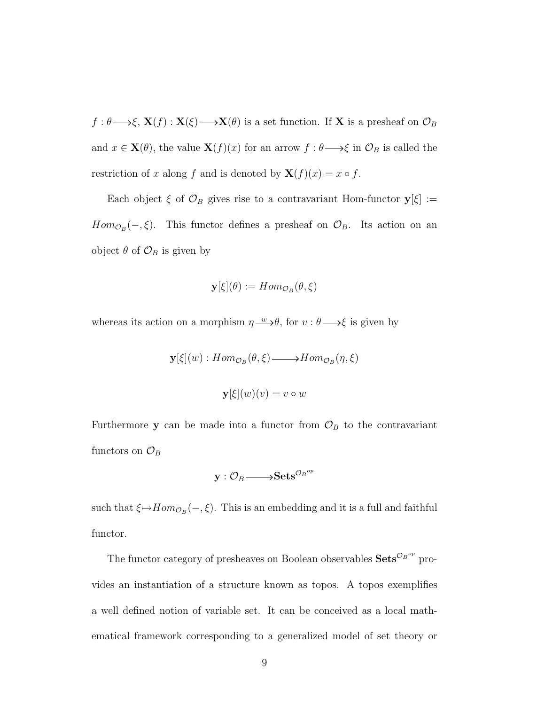$f: \theta \longrightarrow \xi$ ,  $\mathbf{X}(f): \mathbf{X}(\xi) \longrightarrow \mathbf{X}(\theta)$  is a set function. If X is a presheaf on  $\mathcal{O}_B$ and  $x \in \mathbf{X}(\theta)$ , the value  $\mathbf{X}(f)(x)$  for an arrow  $f : \theta \longrightarrow \xi$  in  $\mathcal{O}_B$  is called the restriction of x along f and is denoted by  $\mathbf{X}(f)(x) = x \circ f$ .

Each object  $\xi$  of  $\mathcal{O}_B$  gives rise to a contravariant Hom-functor  $y[\xi] :=$  $Hom_{\mathcal{O}_B}(-,\xi)$ . This functor defines a presheaf on  $\mathcal{O}_B$ . Its action on an object  $\theta$  of  $\mathcal{O}_B$  is given by

$$
\mathbf{y}[\xi](\theta) := Hom_{\mathcal{O}_B}(\theta, \xi)
$$

whereas its action on a morphism  $\eta \rightarrow \theta$ , for  $v : \theta \rightarrow \xi$  is given by

$$
\mathbf{y}[\xi](w) : Hom_{\mathcal{O}_B}(\theta, \xi) \longrightarrow Hom_{\mathcal{O}_B}(\eta, \xi)
$$
  

$$
\mathbf{y}[\xi](w)(v) = v \circ w
$$

Furthermore **y** can be made into a functor from  $\mathcal{O}_B$  to the contravariant functors on  $\mathcal{O}_B$ 

$$
\mathbf{y}: \mathcal{O}_B \longrightarrow \mathbf{Sets}^{\mathcal{O}_B^{op}}
$$

such that  $\xi \mapsto Hom_{\mathcal{O}_B}(-,\xi)$ . This is an embedding and it is a full and faithful functor.

The functor category of presheaves on Boolean observables  $\mathbf{Sets}^{\mathcal{O}_B^{op}}$  provides an instantiation of a structure known as topos. A topos exemplifies a well defined notion of variable set. It can be conceived as a local mathematical framework corresponding to a generalized model of set theory or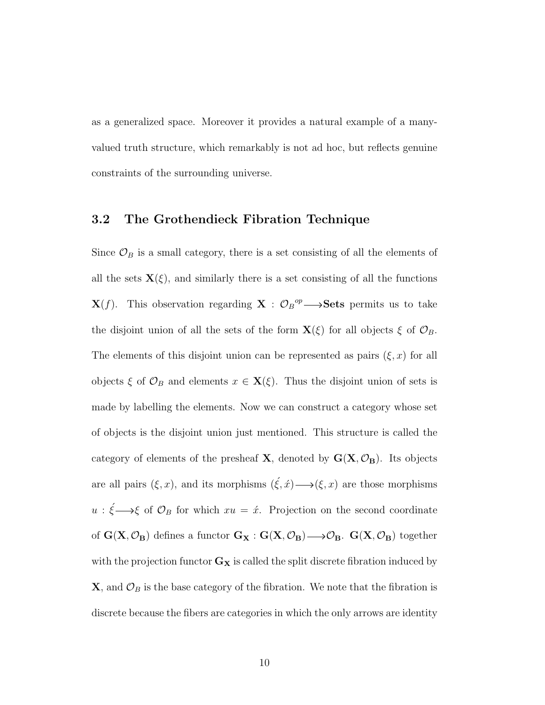as a generalized space. Moreover it provides a natural example of a manyvalued truth structure, which remarkably is not ad hoc, but reflects genuine constraints of the surrounding universe.

#### 3.2 The Grothendieck Fibration Technique

Since  $\mathcal{O}_B$  is a small category, there is a set consisting of all the elements of all the sets  $\mathbf{X}(\xi)$ , and similarly there is a set consisting of all the functions  $\mathbf{X}(f)$ . This observation regarding  $\mathbf{X} : \mathcal{O}_B{}^{op} \longrightarrow \mathbf{Sets}$  permits us to take the disjoint union of all the sets of the form  $\mathbf{X}(\xi)$  for all objects  $\xi$  of  $\mathcal{O}_B$ . The elements of this disjoint union can be represented as pairs  $(\xi, x)$  for all objects  $\xi$  of  $\mathcal{O}_B$  and elements  $x \in \mathbf{X}(\xi)$ . Thus the disjoint union of sets is made by labelling the elements. Now we can construct a category whose set of objects is the disjoint union just mentioned. This structure is called the category of elements of the presheaf **X**, denoted by  $G(X, \mathcal{O}_B)$ . Its objects are all pairs  $(\xi, x)$ , and its morphisms  $(\xi, \hat{x}) \longrightarrow (\xi, x)$  are those morphisms  $u : \xi \longrightarrow \xi$  of  $\mathcal{O}_B$  for which  $xu = \dot{x}$ . Projection on the second coordinate of  $G(X, \mathcal{O}_B)$  defines a functor  $G_X : G(X, \mathcal{O}_B) \longrightarrow \mathcal{O}_B$ .  $G(X, \mathcal{O}_B)$  together with the projection functor  $G_X$  is called the split discrete fibration induced by  $\mathbf{X}$ , and  $\mathcal{O}_B$  is the base category of the fibration. We note that the fibration is discrete because the fibers are categories in which the only arrows are identity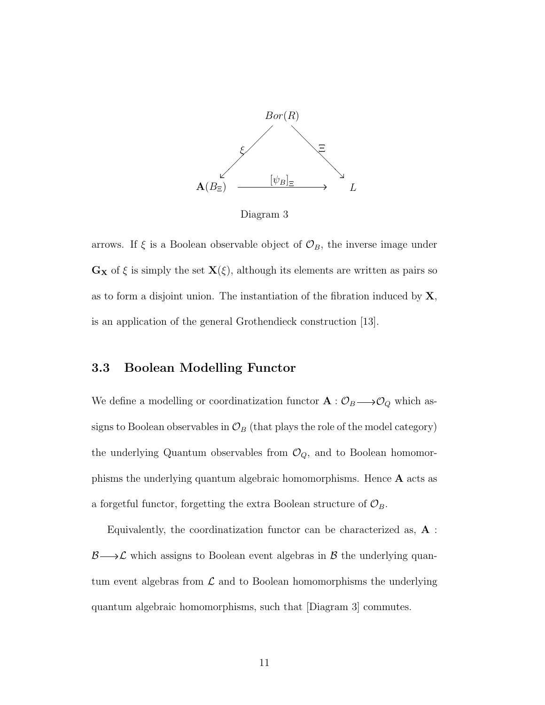

Diagram 3

arrows. If  $\xi$  is a Boolean observable object of  $\mathcal{O}_B$ , the inverse image under  $\mathbf{G}_{\mathbf{X}}$  of  $\xi$  is simply the set  $\mathbf{X}(\xi)$ , although its elements are written as pairs so as to form a disjoint union. The instantiation of the fibration induced by  $X$ , is an application of the general Grothendieck construction [13].

### 3.3 Boolean Modelling Functor

We define a modelling or coordinatization functor  $\mathbf{A}: \mathcal{O}_B \longrightarrow \mathcal{O}_Q$  which assigns to Boolean observables in  $\mathcal{O}_B$  (that plays the role of the model category) the underlying Quantum observables from  $\mathcal{O}_Q$ , and to Boolean homomorphisms the underlying quantum algebraic homomorphisms. Hence A acts as a forgetful functor, forgetting the extra Boolean structure of  $\mathcal{O}_B$ .

Equivalently, the coordinatization functor can be characterized as, A :  $\mathcal{B}\longrightarrow\mathcal{L}$  which assigns to Boolean event algebras in  $\mathcal B$  the underlying quantum event algebras from  $\mathcal L$  and to Boolean homomorphisms the underlying quantum algebraic homomorphisms, such that [Diagram 3] commutes.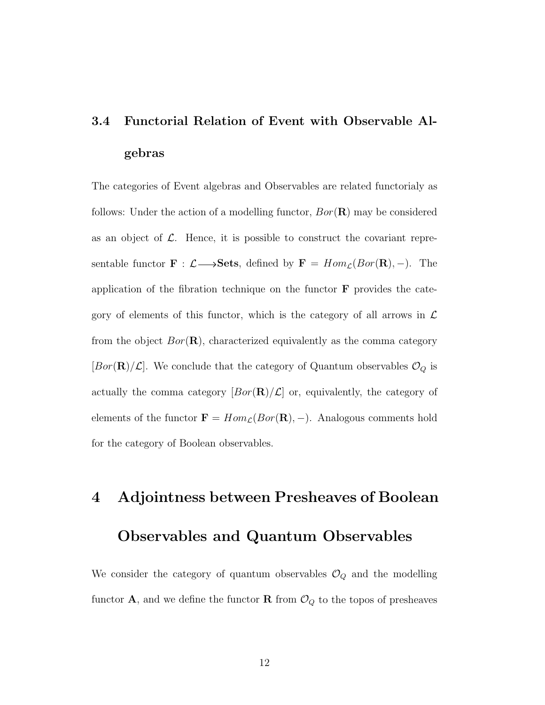## 3.4 Functorial Relation of Event with Observable Algebras

The categories of Event algebras and Observables are related functorialy as follows: Under the action of a modelling functor,  $Bor(\mathbf{R})$  may be considered as an object of  $\mathcal{L}$ . Hence, it is possible to construct the covariant representable functor  $\mathbf{F} : \mathcal{L} \longrightarrow$ **Sets**, defined by  $\mathbf{F} = Hom_{\mathcal{L}}(Bor(\mathbf{R}), -)$ . The application of the fibration technique on the functor  $\bf{F}$  provides the category of elements of this functor, which is the category of all arrows in  $\mathcal L$ from the object  $Bor(\mathbf{R})$ , characterized equivalently as the comma category [ $Bor(\mathbf{R})/\mathcal{L}$ ]. We conclude that the category of Quantum observables  $\mathcal{O}_Q$  is actually the comma category  $[Bor(\mathbf{R})/\mathcal{L}]$  or, equivalently, the category of elements of the functor  $\mathbf{F} = Hom_{\mathcal{L}}(Bor(\mathbf{R}), -)$ . Analogous comments hold for the category of Boolean observables.

# 4 Adjointness between Presheaves of Boolean Observables and Quantum Observables

We consider the category of quantum observables  $\mathcal{O}_Q$  and the modelling functor **A**, and we define the functor **R** from  $\mathcal{O}_Q$  to the topos of presheaves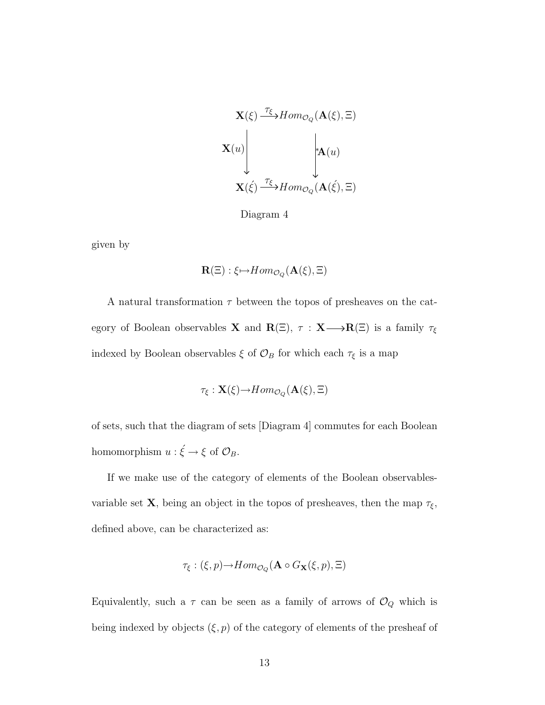$$
\mathbf{X}(\xi) \xrightarrow{\tau_{\xi}} Hom_{\mathcal{O}_Q}(\mathbf{A}(\xi), \Xi)
$$
\n
$$
\mathbf{X}(u) \downarrow \downarrow \mathbf{A}(u)
$$
\n
$$
\mathbf{X}(\xi) \xrightarrow{\tau_{\xi}} Hom_{\mathcal{O}_Q}(\mathbf{A}(\xi), \Xi)
$$

Diagram 4

given by

$$
\mathbf{R}(\Xi):\xi\mapsto Hom_{\mathcal{O}_Q}(\mathbf{A}(\xi),\Xi)
$$

A natural transformation  $\tau$  between the topos of presheaves on the category of Boolean observables **X** and  $\mathbf{R}(\Xi)$ ,  $\tau : \mathbf{X} \longrightarrow \mathbf{R}(\Xi)$  is a family  $\tau_{\xi}$ indexed by Boolean observables  $\xi$  of<br>  $\mathcal{O}_B$  for which each  $\tau_\xi$  is a map

$$
\tau_{\xi}: \mathbf{X}(\xi) {\rightarrow} Hom_{\mathcal{O}_Q}(\mathbf{A}(\xi), \Xi)
$$

of sets, such that the diagram of sets [Diagram 4] commutes for each Boolean homomorphism  $u : \xi \to \xi$  of  $\mathcal{O}_B$ .

If we make use of the category of elements of the Boolean observablesvariable set **X**, being an object in the topos of presheaves, then the map  $\tau_{\xi}$ , defined above, can be characterized as:

$$
\tau_{\xi}: (\xi, p) {\rightarrow} Hom_{\mathcal{O}_Q}(\mathbf{A} \circ G_{\mathbf{X}}(\xi, p), \Xi)
$$

Equivalently, such a  $\tau$  can be seen as a family of arrows of  $\mathcal{O}_Q$  which is being indexed by objects  $(\xi, p)$  of the category of elements of the presheaf of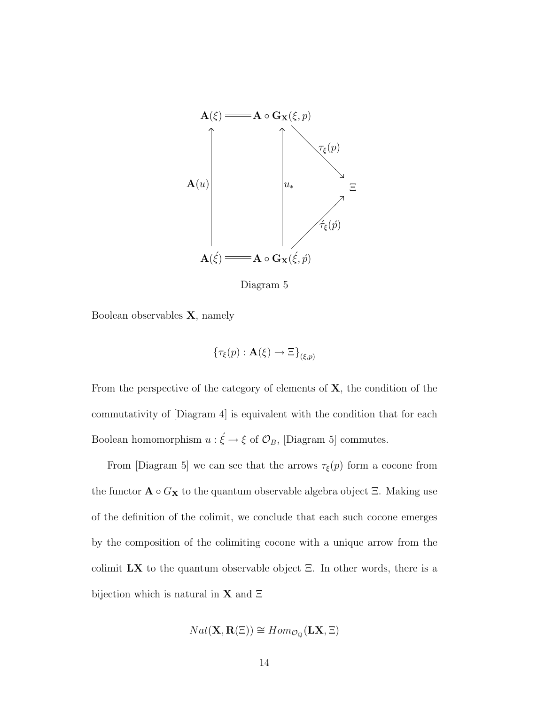

Diagram 5

Boolean observables X, namely

$$
\{\tau_{\xi}(p):\mathbf{A}(\xi)\to\Xi\}_{(\xi,p)}
$$

From the perspective of the category of elements of  $X$ , the condition of the commutativity of [Diagram 4] is equivalent with the condition that for each Boolean homomorphism  $u : \xi \to \xi$  of  $\mathcal{O}_B$ , [Diagram 5] commutes.

From [Diagram 5] we can see that the arrows  $\tau_{\xi}(p)$  form a cocone from the functor  $\mathbf{A} \circ G_{\mathbf{X}}$  to the quantum observable algebra object  $\Xi$ . Making use of the definition of the colimit, we conclude that each such cocone emerges by the composition of the colimiting cocone with a unique arrow from the colimit  $\mathbf{L}\mathbf{X}$  to the quantum observable object  $\Xi$ . In other words, there is a bijection which is natural in **X** and  $\Xi$ 

$$
Nat(X, \mathbf{R}(\Xi)) \cong Hom_{\mathcal{O}_Q}(\mathbf{L}X, \Xi)
$$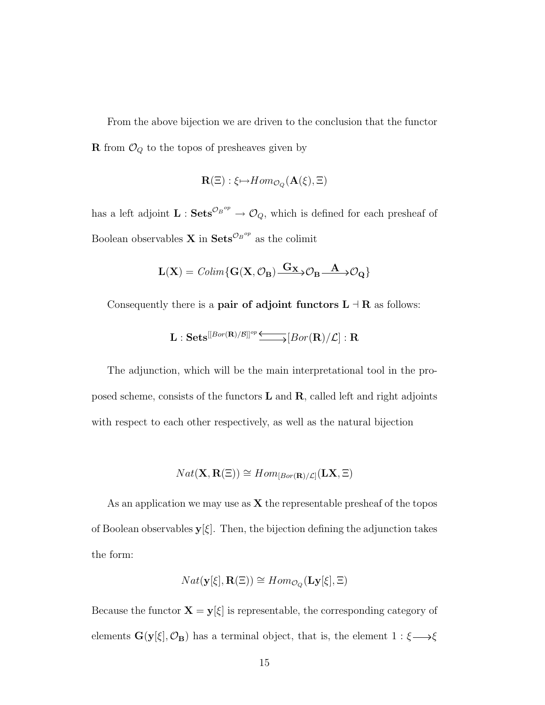From the above bijection we are driven to the conclusion that the functor  ${\bf R}$  from  ${\mathcal O}_Q$  to the topos of presheaves given by

$$
\mathbf{R}(\Xi):\xi\mapsto Hom_{\mathcal{O}_Q}(\mathbf{A}(\xi),\Xi)
$$

has a left adjoint  $\mathbf{L}$  :  $\mathbf{Sets}^{\mathcal{O}_B^{op}} \to \mathcal{O}_Q$ , which is defined for each presheaf of Boolean observables **X** in  $\textbf{Sets}^{\mathcal{O}_B^{op}}$  as the colimit

$$
\mathbf{L}(\mathbf{X}) = \mathit{Colim}\{\mathbf{G}(\mathbf{X}, \mathcal{O}_\mathbf{B}) \xrightarrow{\mathbf{G}_{\mathbf{X}}} \mathcal{O}_\mathbf{B} \xrightarrow{\mathbf{A}} \mathcal{O}_\mathbf{Q}\}
$$

Consequently there is a **pair of adjoint functors L**  $\exists$  **R** as follows:

$$
\mathbf{L}: \mathbf{Sets}^{[[Bor(\mathbf{R})/\mathcal{B}]]^{op}} \longrightarrow [Bor(\mathbf{R})/\mathcal{L}] : \mathbf{R}
$$

The adjunction, which will be the main interpretational tool in the proposed scheme, consists of the functors  $L$  and  $R$ , called left and right adjoints with respect to each other respectively, as well as the natural bijection

$$
Nat(\mathbf{X}, \mathbf{R}(\Xi)) \cong Hom_{[Bor(\mathbf{R})/\mathcal{L}]}(\mathbf{L}\mathbf{X}, \Xi)
$$

As an application we may use as  $X$  the representable presheaf of the topos of Boolean observables  $y[\xi]$ . Then, the bijection defining the adjunction takes the form:

$$
Nat(\mathbf{y}[\xi], \mathbf{R}(\Xi)) \cong Hom_{\mathcal{O}_Q}(\mathbf{Ly}[\xi], \Xi)
$$

Because the functor  $\mathbf{X}=\mathbf{y}[\xi]$  is representable, the corresponding category of elements  $G(y[\xi], \mathcal{O}_B)$  has a terminal object, that is, the element  $1 : \xi \longrightarrow \xi$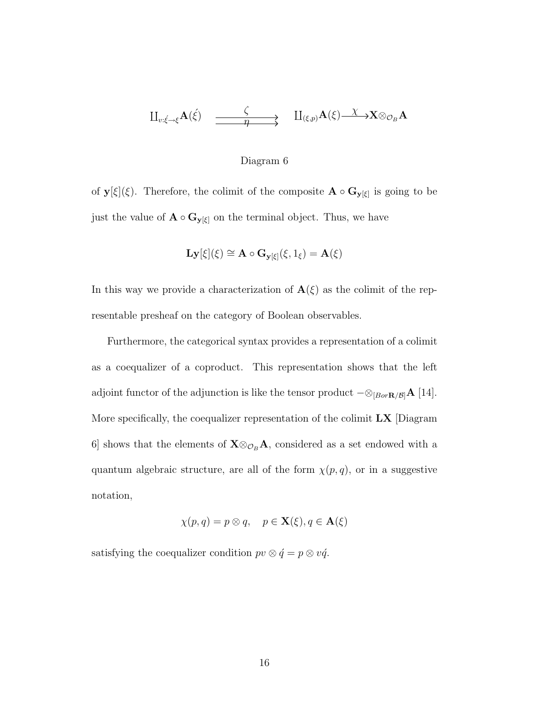$$
\amalg_{v:\xi\rightarrow\xi}A(\xi)\quad\xrightarrow{\zeta}\quad\qquad\amalg_{(\xi,p)}A(\xi)\xrightarrow{\chi}\chi_{\otimes_{\mathcal{O}_B}A}
$$

#### Diagram 6

of  $\mathbf{y}[\xi](\xi)$ . Therefore, the colimit of the composite  $\mathbf{A} \circ \mathbf{G}_{\mathbf{y}[\xi]}$  is going to be just the value of  $\mathbf{A} \circ \mathbf{G}_{\mathbf{y}[\xi]}$  on the terminal object. Thus, we have

$$
\mathbf{Ly}[\xi](\xi) \cong \mathbf{A} \circ \mathbf{G}_{\mathbf{y}[\xi]}(\xi, 1_{\xi}) = \mathbf{A}(\xi)
$$

In this way we provide a characterization of  $\mathbf{A}(\xi)$  as the colimit of the representable presheaf on the category of Boolean observables.

Furthermore, the categorical syntax provides a representation of a colimit as a coequalizer of a coproduct. This representation shows that the left adjoint functor of the adjunction is like the tensor product  $-\otimes_{[Bor\mathbf{R}/\mathcal{B}]} \mathbf{A}$  [14]. More specifically, the coequalizer representation of the colimit  $\mathbf{L}\mathbf{X}$  [Diagram 6] shows that the elements of  $X \otimes_{\mathcal{O}_B} A$ , considered as a set endowed with a quantum algebraic structure, are all of the form  $\chi(p,q)$ , or in a suggestive notation,

$$
\chi(p,q) = p \otimes q, \quad p \in \mathbf{X}(\xi), q \in \mathbf{A}(\xi)
$$

satisfying the coequalizer condition  $pv \otimes \acute{q} = p \otimes v\acute{q}$ .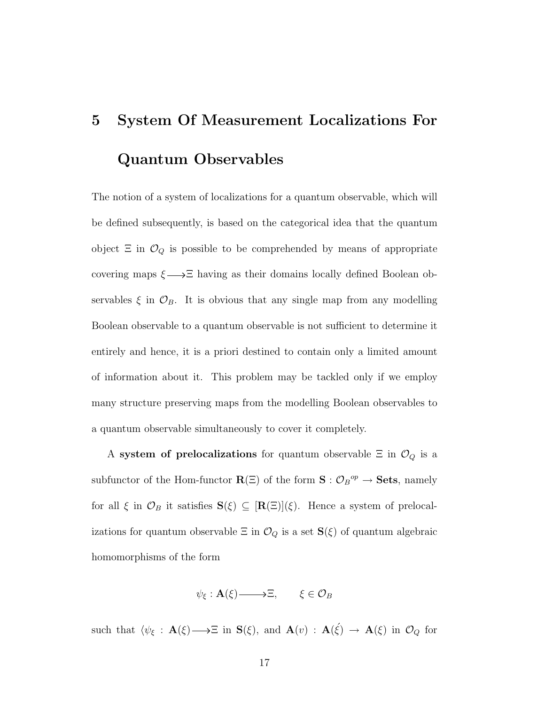# 5 System Of Measurement Localizations For Quantum Observables

The notion of a system of localizations for a quantum observable, which will be defined subsequently, is based on the categorical idea that the quantum object  $\Xi$  in  $\mathcal{O}_Q$  is possible to be comprehended by means of appropriate covering maps  $\xi \longrightarrow \Xi$  having as their domains locally defined Boolean observables  $\xi$  in  $\mathcal{O}_B$ . It is obvious that any single map from any modelling Boolean observable to a quantum observable is not sufficient to determine it entirely and hence, it is a priori destined to contain only a limited amount of information about it. This problem may be tackled only if we employ many structure preserving maps from the modelling Boolean observables to a quantum observable simultaneously to cover it completely.

A system of prelocalizations for quantum observable  $\Xi$  in  $\mathcal{O}_Q$  is a subfunctor of the Hom-functor  $\mathbf{R}(\Xi)$  of the form  $\mathbf{S}: \mathcal{O}_B{}^{op} \to \mathbf{Sets}$ , namely for all  $\xi$  in  $\mathcal{O}_B$  it satisfies  $\mathbf{S}(\xi) \subseteq [\mathbf{R}(\Xi)](\xi)$ . Hence a system of prelocalizations for quantum observable  $\Xi$  in  $\mathcal{O}_Q$  is a set  $\mathbf{S}(\xi)$  of quantum algebraic homomorphisms of the form

$$
\psi_{\xi} : \mathbf{A}(\xi) \longrightarrow \Xi, \qquad \xi \in \mathcal{O}_B
$$

such that  $\langle \psi_{\xi} : \mathbf{A}(\xi) \longrightarrow \Xi$  in  $\mathbf{S}(\xi)$ , and  $\mathbf{A}(v) : \mathbf{A}(\xi) \longrightarrow \mathbf{A}(\xi)$  in  $\mathcal{O}_Q$  for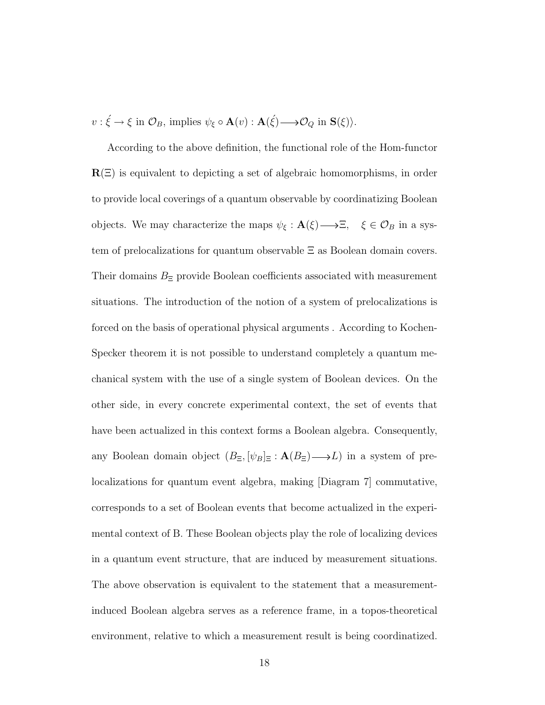$v : \xi \to \xi \text{ in } \mathcal{O}_B$ , implies  $\psi_{\xi} \circ \mathbf{A}(v) : \mathbf{A}(\xi) \longrightarrow \mathcal{O}_Q \text{ in } \mathbf{S}(\xi)$ .

According to the above definition, the functional role of the Hom-functor  $R(\Xi)$  is equivalent to depicting a set of algebraic homomorphisms, in order to provide local coverings of a quantum observable by coordinatizing Boolean objects. We may characterize the maps  $\psi_{\xi} : \mathbf{A}(\xi) \longrightarrow \Xi$ ,  $\xi \in \mathcal{O}_B$  in a system of prelocalizations for quantum observable Ξ as Boolean domain covers. Their domains  $B_{\Xi}$  provide Boolean coefficients associated with measurement situations. The introduction of the notion of a system of prelocalizations is forced on the basis of operational physical arguments . According to Kochen-Specker theorem it is not possible to understand completely a quantum mechanical system with the use of a single system of Boolean devices. On the other side, in every concrete experimental context, the set of events that have been actualized in this context forms a Boolean algebra. Consequently, any Boolean domain object  $(B_{\Xi}, [\psi_B]_{\Xi} : \mathbf{A}(B_{\Xi}) \longrightarrow L)$  in a system of prelocalizations for quantum event algebra, making [Diagram 7] commutative, corresponds to a set of Boolean events that become actualized in the experimental context of B. These Boolean objects play the role of localizing devices in a quantum event structure, that are induced by measurement situations. The above observation is equivalent to the statement that a measurementinduced Boolean algebra serves as a reference frame, in a topos-theoretical environment, relative to which a measurement result is being coordinatized.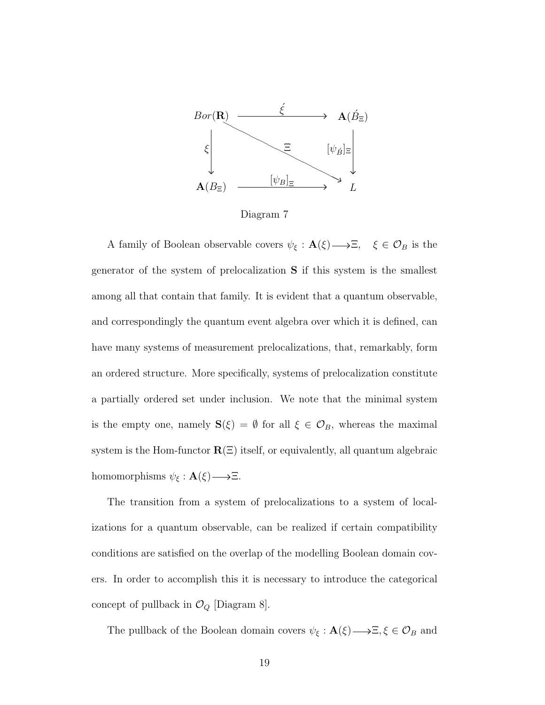

Diagram 7

A family of Boolean observable covers  $\psi_{\xi} : \mathbf{A}(\xi) \longrightarrow \Xi$ ,  $\xi \in \mathcal{O}_B$  is the generator of the system of prelocalization S if this system is the smallest among all that contain that family. It is evident that a quantum observable, and correspondingly the quantum event algebra over which it is defined, can have many systems of measurement prelocalizations, that, remarkably, form an ordered structure. More specifically, systems of prelocalization constitute a partially ordered set under inclusion. We note that the minimal system is the empty one, namely  $S(\xi) = \emptyset$  for all  $\xi \in \mathcal{O}_B$ , whereas the maximal system is the Hom-functor  $\mathbf{R}(\Xi)$  itself, or equivalently, all quantum algebraic homomorphisms  $\psi_{\xi} : \mathbf{A}(\xi) \longrightarrow \Xi$ .

The transition from a system of prelocalizations to a system of localizations for a quantum observable, can be realized if certain compatibility conditions are satisfied on the overlap of the modelling Boolean domain covers. In order to accomplish this it is necessary to introduce the categorical concept of pullback in  $\mathcal{O}_Q$  [Diagram 8].

The pullback of the Boolean domain covers  $\psi_{\xi} : \mathbf{A}(\xi) \longrightarrow \Xi, \xi \in \mathcal{O}_B$  and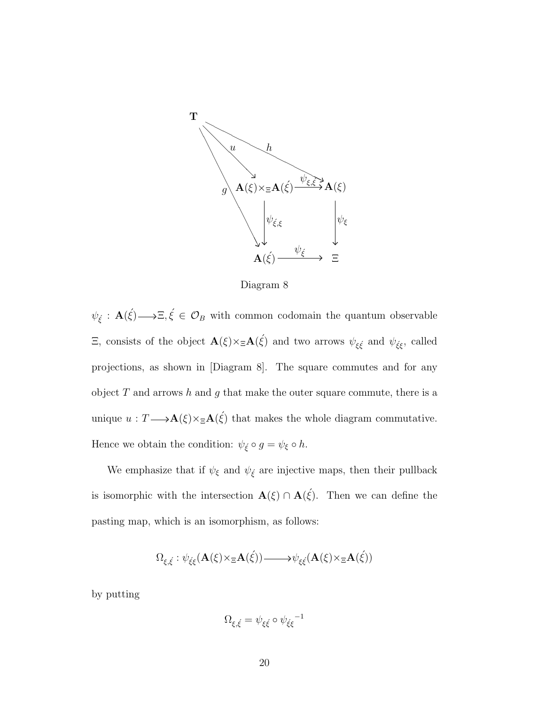

Diagram 8

 $\psi_{\xi} : \mathbf{A}(\xi) \longrightarrow \Xi, \xi \in \mathcal{O}_B$  with common codomain the quantum observable Ξ, consists of the object  $\mathbf{A}(\xi) \times \mathbf{A}(\xi)$  and two arrows  $\psi_{\xi \xi}$  and  $\psi_{\xi \xi}$ , called projections, as shown in [Diagram 8]. The square commutes and for any object  $T$  and arrows  $h$  and  $g$  that make the outer square commute, there is a unique  $u: T \longrightarrow \mathbf{A}(\xi) \times_{\Xi} \mathbf{A}(\xi)$  that makes the whole diagram commutative. Hence we obtain the condition:  $\psi_{\xi} \circ g = \psi_{\xi} \circ h$ .

We emphasize that if  $\psi_{\xi}$  and  $\psi_{\xi}$  are injective maps, then their pullback is isomorphic with the intersection  $\mathbf{A}(\xi) \cap \mathbf{A}(\xi)$ . Then we can define the pasting map, which is an isomorphism, as follows:

$$
\Omega_{\xi,\xi} : \psi_{\xi\xi}(\mathbf{A}(\xi) \times_{\Xi} \mathbf{A}(\xi)) \longrightarrow \psi_{\xi\xi}(\mathbf{A}(\xi) \times_{\Xi} \mathbf{A}(\xi))
$$

by putting

$$
\Omega_{\xi,\xi} = \psi_{\xi\xi} \circ \psi_{\xi\xi}^{-1}
$$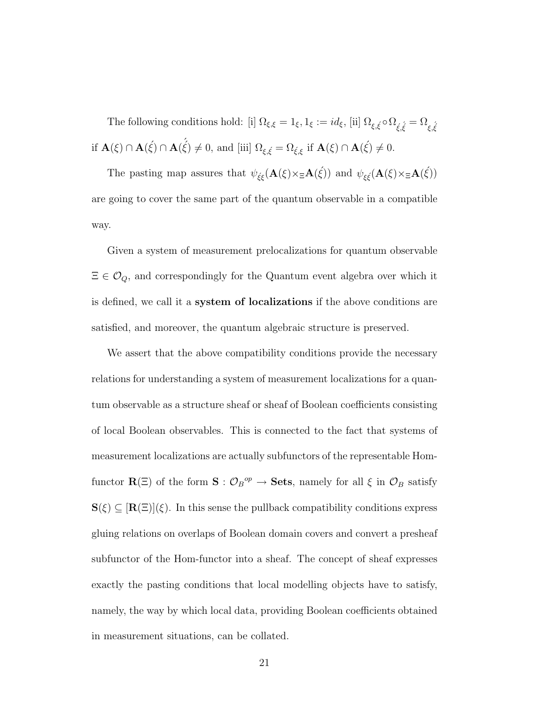The following conditions hold: [i]  $\Omega_{\xi,\xi} = 1_{\xi}, 1_{\xi} := id_{\xi}$ , [ii]  $\Omega_{\xi,\xi} \circ \Omega_{\xi,\xi} = \Omega_{\xi,\xi}$ if  $\mathbf{A}(\xi) \cap \mathbf{A}(\acute{\xi}) \cap \mathbf{A}(\acute{\xi}) \neq 0$ , and [iii]  $\Omega_{\xi,\acute{\xi}} = \Omega_{\acute{\xi},\xi}$  if  $\mathbf{A}(\xi) \cap \mathbf{A}(\acute{\xi}) \neq 0$ .

The pasting map assures that  $\psi_{\xi\xi}(\mathbf{A}(\xi)\times_{\Xi}\mathbf{A}(\xi))$  and  $\psi_{\xi\xi}(\mathbf{A}(\xi)\times_{\Xi}\mathbf{A}(\xi))$ are going to cover the same part of the quantum observable in a compatible way.

Given a system of measurement prelocalizations for quantum observable  $\Xi \in \mathcal{O}_Q$ , and correspondingly for the Quantum event algebra over which it is defined, we call it a system of localizations if the above conditions are satisfied, and moreover, the quantum algebraic structure is preserved.

We assert that the above compatibility conditions provide the necessary relations for understanding a system of measurement localizations for a quantum observable as a structure sheaf or sheaf of Boolean coefficients consisting of local Boolean observables. This is connected to the fact that systems of measurement localizations are actually subfunctors of the representable Homfunctor  $\mathbf{R}(\Xi)$  of the form  $\mathbf{S}: \mathcal{O}_B{}^{op} \to \mathbf{Sets}$ , namely for all  $\xi$  in  $\mathcal{O}_B$  satisfy  $\mathbf{S}(\xi) \subseteq [\mathbf{R}(\Xi)](\xi)$ . In this sense the pullback compatibility conditions express gluing relations on overlaps of Boolean domain covers and convert a presheaf subfunctor of the Hom-functor into a sheaf. The concept of sheaf expresses exactly the pasting conditions that local modelling objects have to satisfy, namely, the way by which local data, providing Boolean coefficients obtained in measurement situations, can be collated.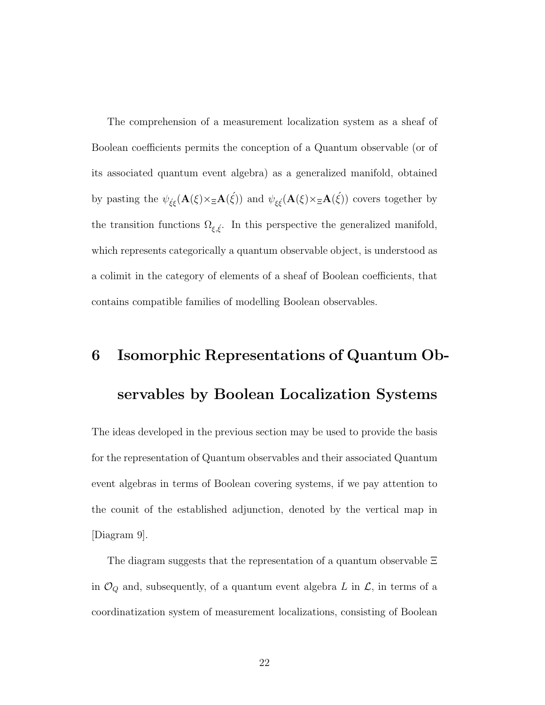The comprehension of a measurement localization system as a sheaf of Boolean coefficients permits the conception of a Quantum observable (or of its associated quantum event algebra) as a generalized manifold, obtained by pasting the  $\psi_{\xi\xi}(\mathbf{A}(\xi)\times_{\Xi}\mathbf{A}(\xi))$  and  $\psi_{\xi\xi}(\mathbf{A}(\xi)\times_{\Xi}\mathbf{A}(\xi))$  covers together by the transition functions  $\Omega_{\xi,\xi}$ . In this perspective the generalized manifold, which represents categorically a quantum observable object, is understood as a colimit in the category of elements of a sheaf of Boolean coefficients, that contains compatible families of modelling Boolean observables.

## 6 Isomorphic Representations of Quantum Observables by Boolean Localization Systems

The ideas developed in the previous section may be used to provide the basis for the representation of Quantum observables and their associated Quantum event algebras in terms of Boolean covering systems, if we pay attention to the counit of the established adjunction, denoted by the vertical map in [Diagram 9].

The diagram suggests that the representation of a quantum observable Ξ in  $\mathcal{O}_Q$  and, subsequently, of a quantum event algebra L in  $\mathcal{L}$ , in terms of a coordinatization system of measurement localizations, consisting of Boolean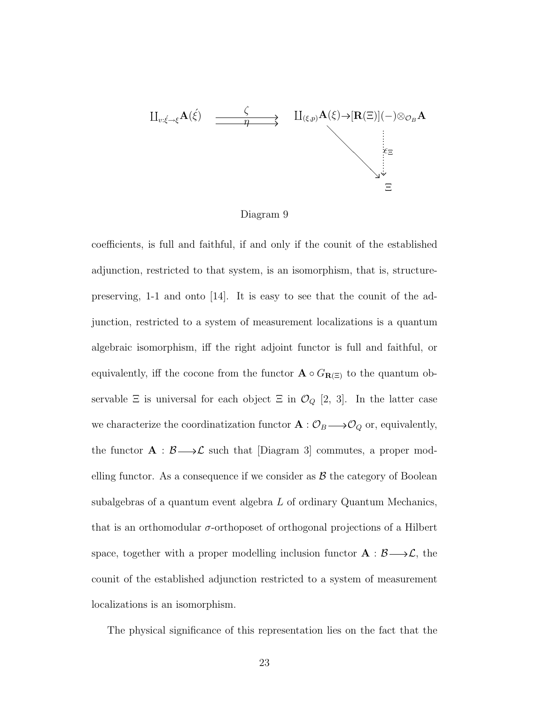$$
\begin{array}{ccc}\n\coprod_{v:\xi\to\xi} A(\xi) & \xrightarrow{\zeta} & \coprod_{(\xi,p)} A(\xi) \to [\mathbf{R}(\Xi)](-) \otimes_{\mathcal{O}_B} A \\
& & \vdots \\
\downarrow_{\xi\Xi} & & \vdots \\
\downarrow_{\xi\Xi} & & \downarrow \\
\downarrow_{\xi\Xi} & & \downarrow \\
\downarrow_{\xi\Xi} & & \downarrow \\
\downarrow_{\xi\Xi} & & \downarrow \\
\downarrow_{\xi\Xi} & & \downarrow \\
\downarrow_{\xi\Xi} & & \downarrow \\
\downarrow_{\xi\Xi} & & \downarrow \\
\downarrow_{\xi\Xi} & & \downarrow \\
\downarrow_{\xi\Xi} & & \downarrow \\
\downarrow_{\xi\Xi} & & \downarrow \\
\downarrow_{\xi\Xi} & & \downarrow \\
\downarrow_{\xi\Xi} & & \downarrow \\
\downarrow_{\xi\Xi} & & \downarrow \\
\downarrow_{\xi\Xi} & & \downarrow \\
\downarrow_{\xi\Xi} & & \downarrow \\
\downarrow_{\xi\Xi} & & \downarrow \\
\downarrow_{\xi\Xi} & & \downarrow \\
\downarrow_{\xi\Xi} & & \downarrow \\
\downarrow_{\xi\Xi} & & \downarrow \\
\downarrow_{\xi\Xi} & & \downarrow \\
\downarrow_{\xi\Xi} & & \downarrow \\
\downarrow_{\xi\Xi} & & \downarrow \\
\downarrow_{\xi\Xi} & & \downarrow \\
\downarrow_{\xi\Xi} & & \downarrow \\
\downarrow_{\xi\Xi} & & \downarrow \\
\downarrow_{\xi\Xi} & & \downarrow \\
\downarrow_{\xi\Xi} & & \downarrow \\
\downarrow_{\xi\Xi} & & \downarrow \\
\downarrow_{\xi\Xi} & & \downarrow \\
\downarrow_{\xi\Xi} & & \downarrow \\
\downarrow_{\xi\Xi} & & \downarrow \\
\downarrow_{\xi\Xi} & & \downarrow \\
\downarrow_{\xi\Xi} & & \downarrow \\
\downarrow_{\xi\Xi} & & \downarrow \\
\downarrow_{\xi\Xi} &
$$

#### Diagram 9

coefficients, is full and faithful, if and only if the counit of the established adjunction, restricted to that system, is an isomorphism, that is, structurepreserving, 1-1 and onto [14]. It is easy to see that the counit of the adjunction, restricted to a system of measurement localizations is a quantum algebraic isomorphism, iff the right adjoint functor is full and faithful, or equivalently, iff the cocone from the functor  $\mathbf{A}\circ G_{\mathbf{R}(\Xi)}$  to the quantum observable  $\Xi$  is universal for each object  $\Xi$  in  $\mathcal{O}_Q$  [2, 3]. In the latter case we characterize the coordinatization functor  $\mathbf{A} : \mathcal{O}_B \longrightarrow \mathcal{O}_Q$  or, equivalently, the functor  $A : B \longrightarrow \mathcal{L}$  such that [Diagram 3] commutes, a proper modelling functor. As a consequence if we consider as  $\beta$  the category of Boolean subalgebras of a quantum event algebra  $L$  of ordinary Quantum Mechanics, that is an orthomodular  $\sigma$ -orthoposet of orthogonal projections of a Hilbert space, together with a proper modelling inclusion functor  $\mathbf{A} : \mathcal{B} \longrightarrow \mathcal{L}$ , the counit of the established adjunction restricted to a system of measurement localizations is an isomorphism.

The physical significance of this representation lies on the fact that the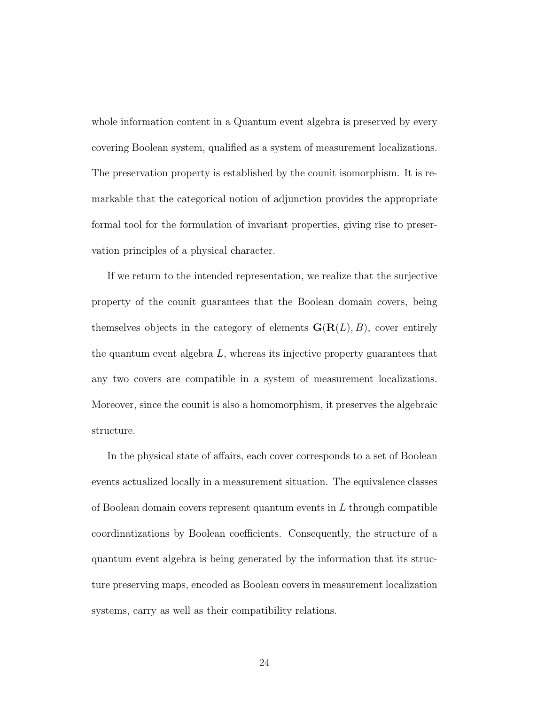whole information content in a Quantum event algebra is preserved by every covering Boolean system, qualified as a system of measurement localizations. The preservation property is established by the counit isomorphism. It is remarkable that the categorical notion of adjunction provides the appropriate formal tool for the formulation of invariant properties, giving rise to preservation principles of a physical character.

If we return to the intended representation, we realize that the surjective property of the counit guarantees that the Boolean domain covers, being themselves objects in the category of elements  $\mathbf{G}(\mathbf{R}(L), B)$ , cover entirely the quantum event algebra  $L$ , whereas its injective property guarantees that any two covers are compatible in a system of measurement localizations. Moreover, since the counit is also a homomorphism, it preserves the algebraic structure.

In the physical state of affairs, each cover corresponds to a set of Boolean events actualized locally in a measurement situation. The equivalence classes of Boolean domain covers represent quantum events in  $L$  through compatible coordinatizations by Boolean coefficients. Consequently, the structure of a quantum event algebra is being generated by the information that its structure preserving maps, encoded as Boolean covers in measurement localization systems, carry as well as their compatibility relations.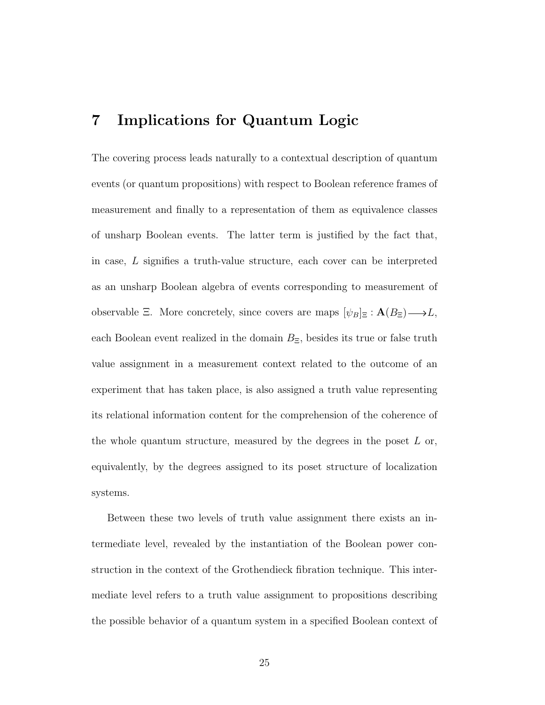### 7 Implications for Quantum Logic

The covering process leads naturally to a contextual description of quantum events (or quantum propositions) with respect to Boolean reference frames of measurement and finally to a representation of them as equivalence classes of unsharp Boolean events. The latter term is justified by the fact that, in case, L signifies a truth-value structure, each cover can be interpreted as an unsharp Boolean algebra of events corresponding to measurement of observable  $\Xi$ . More concretely, since covers are maps  $[\psi_B]_\Xi : \mathbf{A}(B_\Xi) \longrightarrow L$ , each Boolean event realized in the domain  $B_{\Xi}$ , besides its true or false truth value assignment in a measurement context related to the outcome of an experiment that has taken place, is also assigned a truth value representing its relational information content for the comprehension of the coherence of the whole quantum structure, measured by the degrees in the poset  $L$  or, equivalently, by the degrees assigned to its poset structure of localization systems.

Between these two levels of truth value assignment there exists an intermediate level, revealed by the instantiation of the Boolean power construction in the context of the Grothendieck fibration technique. This intermediate level refers to a truth value assignment to propositions describing the possible behavior of a quantum system in a specified Boolean context of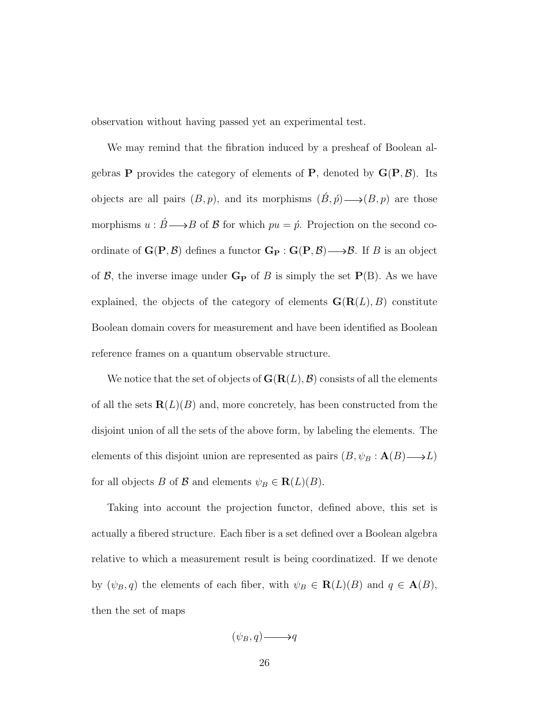observation without having passed yet an experimental test.

We may remind that the fibration induced by a presheaf of Boolean algebras **P** provides the category of elements of **P**, denoted by  $\mathbf{G}(\mathbf{P}, \mathcal{B})$ . Its objects are all pairs  $(B, p)$ , and its morphisms  $(\acute{B}, \acute{p}) \longrightarrow (B, p)$  are those morphisms  $u : \acute{B} \longrightarrow B$  of  $\mathcal B$  for which  $pu = \acute{p}$ . Projection on the second coordinate of  $\mathbf{G}(\mathbf{P}, \mathcal{B})$  defines a functor  $\mathbf{G}_{\mathbf{P}} : \mathbf{G}(\mathbf{P}, \mathcal{B}) \longrightarrow \mathcal{B}$ . If B is an object of  $\mathcal{B}$ , the inverse image under  $\mathbf{G}_{\mathbf{P}}$  of  $B$  is simply the set  $\mathbf{P}(B)$ . As we have explained, the objects of the category of elements  $\mathbf{G}(\mathbf{R}(L), B)$  constitute Boolean domain covers for measurement and have been identified as Boolean reference frames on a quantum observable structure.

We notice that the set of objects of  $\mathbf{G}(\mathbf{R}(L), \mathcal{B})$  consists of all the elements of all the sets  $\mathbf{R}(L)(B)$  and, more concretely, has been constructed from the disjoint union of all the sets of the above form, by labeling the elements. The elements of this disjoint union are represented as pairs  $(B, \psi_B : \mathbf{A}(B) \longrightarrow L)$ for all objects B of B and elements  $\psi_B \in \mathbf{R}(L)(B)$ .

Taking into account the projection functor, defined above, this set is actually a fibered structure. Each fiber is a set defined over a Boolean algebra relative to which a measurement result is being coordinatized. If we denote by  $(\psi_B, q)$  the elements of each fiber, with  $\psi_B \in \mathbf{R}(L)(B)$  and  $q \in \mathbf{A}(B)$ , then the set of maps

$$
(\psi_B, q) \longrightarrow q
$$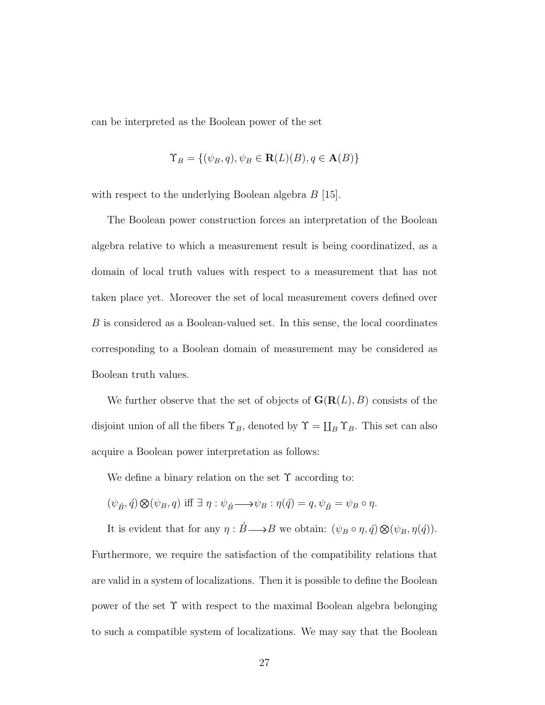can be interpreted as the Boolean power of the set

$$
\Upsilon_B = \{ (\psi_B, q), \psi_B \in \mathbf{R}(L)(B), q \in \mathbf{A}(B) \}
$$

with respect to the underlying Boolean algebra  $B$  [15].

The Boolean power construction forces an interpretation of the Boolean algebra relative to which a measurement result is being coordinatized, as a domain of local truth values with respect to a measurement that has not taken place yet. Moreover the set of local measurement covers defined over B is considered as a Boolean-valued set. In this sense, the local coordinates corresponding to a Boolean domain of measurement may be considered as Boolean truth values.

We further observe that the set of objects of  $\mathbf{G}(\mathbf{R}(L), B)$  consists of the disjoint union of all the fibers  $\Upsilon_B$ , denoted by  $\Upsilon = \coprod_B \Upsilon_B$ . This set can also acquire a Boolean power interpretation as follows:

We define a binary relation on the set  $\Upsilon$  according to:

$$
(\psi_{\acute{B}},\acute{q})\otimes(\psi_B,q)\text{ iff }\exists\ \eta:\psi_{\acute{B}}\longrightarrow\psi_B:\eta(\acute{q})=q,\psi_{\acute{B}}=\psi_B\circ\eta.
$$

It is evident that for any  $\eta : \acute{B} \longrightarrow B$  we obtain:  $(\psi_B \circ \eta, \acute{q}) \otimes (\psi_B, \eta(\acute{q}))$ .

Furthermore, we require the satisfaction of the compatibility relations that are valid in a system of localizations. Then it is possible to define the Boolean power of the set Υ with respect to the maximal Boolean algebra belonging to such a compatible system of localizations. We may say that the Boolean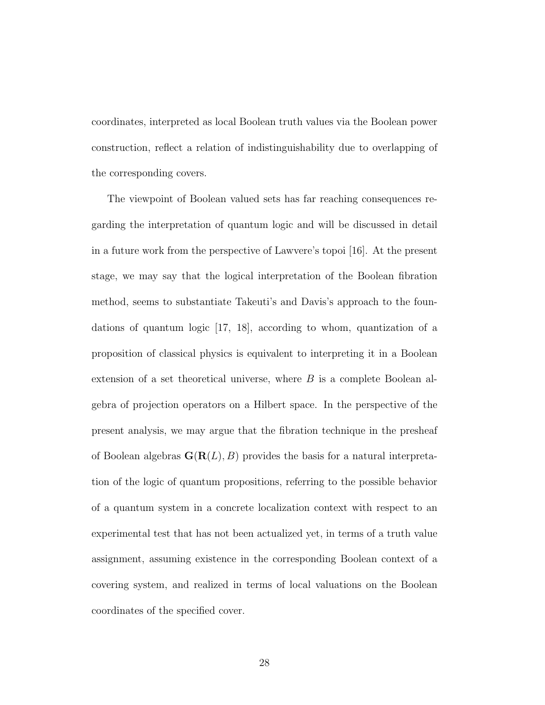coordinates, interpreted as local Boolean truth values via the Boolean power construction, reflect a relation of indistinguishability due to overlapping of the corresponding covers.

The viewpoint of Boolean valued sets has far reaching consequences regarding the interpretation of quantum logic and will be discussed in detail in a future work from the perspective of Lawvere's topoi [16]. At the present stage, we may say that the logical interpretation of the Boolean fibration method, seems to substantiate Takeuti's and Davis's approach to the foundations of quantum logic [17, 18], according to whom, quantization of a proposition of classical physics is equivalent to interpreting it in a Boolean extension of a set theoretical universe, where B is a complete Boolean algebra of projection operators on a Hilbert space. In the perspective of the present analysis, we may argue that the fibration technique in the presheaf of Boolean algebras  $\mathbf{G}(\mathbf{R}(L), B)$  provides the basis for a natural interpretation of the logic of quantum propositions, referring to the possible behavior of a quantum system in a concrete localization context with respect to an experimental test that has not been actualized yet, in terms of a truth value assignment, assuming existence in the corresponding Boolean context of a covering system, and realized in terms of local valuations on the Boolean coordinates of the specified cover.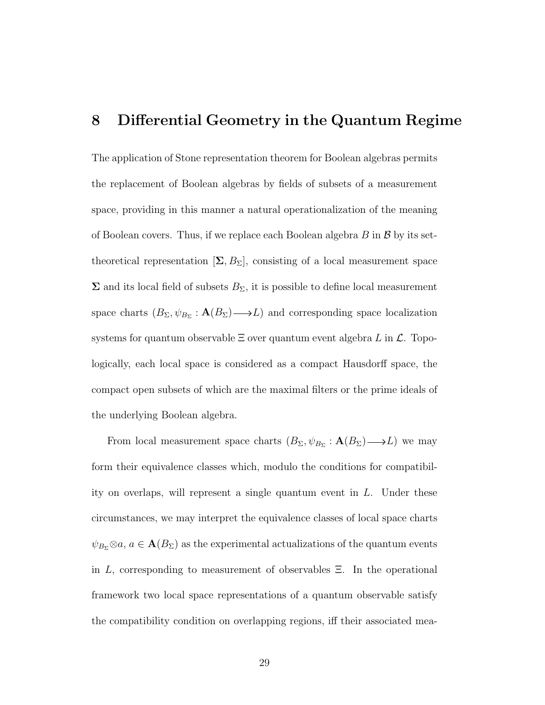### 8 Differential Geometry in the Quantum Regime

The application of Stone representation theorem for Boolean algebras permits the replacement of Boolean algebras by fields of subsets of a measurement space, providing in this manner a natural operationalization of the meaning of Boolean covers. Thus, if we replace each Boolean algebra  $B$  in  $\beta$  by its settheoretical representation  $[\Sigma, B_{\Sigma}]$ , consisting of a local measurement space  $\Sigma$  and its local field of subsets  $B_{\Sigma}$ , it is possible to define local measurement space charts  $(B_{\Sigma}, \psi_{B_{\Sigma}} : \mathbf{A}(B_{\Sigma}) \longrightarrow L)$  and corresponding space localization systems for quantum observable  $\Xi$  over quantum event algebra L in  $\mathcal{L}$ . Topologically, each local space is considered as a compact Hausdorff space, the compact open subsets of which are the maximal filters or the prime ideals of the underlying Boolean algebra.

From local measurement space charts  $(B_{\Sigma}, \psi_{B_{\Sigma}} : \mathbf{A}(B_{\Sigma}) \longrightarrow L)$  we may form their equivalence classes which, modulo the conditions for compatibility on overlaps, will represent a single quantum event in L. Under these circumstances, we may interpret the equivalence classes of local space charts  $\psi_{B_{\Sigma}} \otimes a, a \in \mathbf{A}(B_{\Sigma})$  as the experimental actualizations of the quantum events in  $L$ , corresponding to measurement of observables  $\Xi$ . In the operational framework two local space representations of a quantum observable satisfy the compatibility condition on overlapping regions, iff their associated mea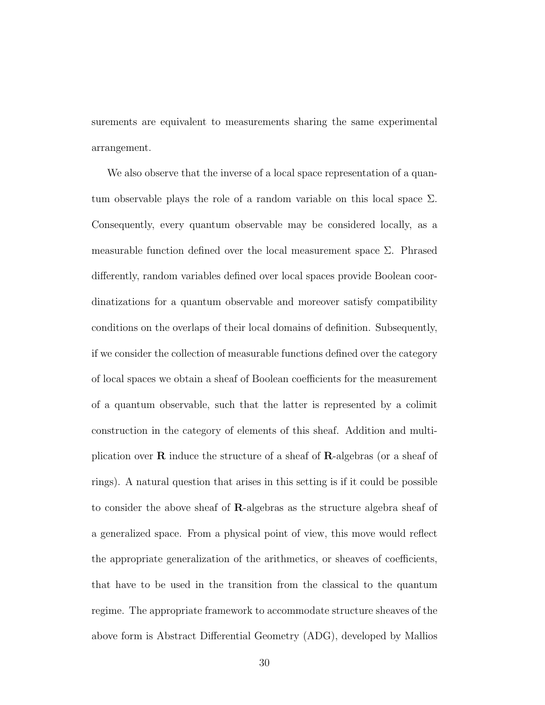surements are equivalent to measurements sharing the same experimental arrangement.

We also observe that the inverse of a local space representation of a quantum observable plays the role of a random variable on this local space  $\Sigma$ . Consequently, every quantum observable may be considered locally, as a measurable function defined over the local measurement space  $\Sigma$ . Phrased differently, random variables defined over local spaces provide Boolean coordinatizations for a quantum observable and moreover satisfy compatibility conditions on the overlaps of their local domains of definition. Subsequently, if we consider the collection of measurable functions defined over the category of local spaces we obtain a sheaf of Boolean coefficients for the measurement of a quantum observable, such that the latter is represented by a colimit construction in the category of elements of this sheaf. Addition and multiplication over R induce the structure of a sheaf of R-algebras (or a sheaf of rings). A natural question that arises in this setting is if it could be possible to consider the above sheaf of R-algebras as the structure algebra sheaf of a generalized space. From a physical point of view, this move would reflect the appropriate generalization of the arithmetics, or sheaves of coefficients, that have to be used in the transition from the classical to the quantum regime. The appropriate framework to accommodate structure sheaves of the above form is Abstract Differential Geometry (ADG), developed by Mallios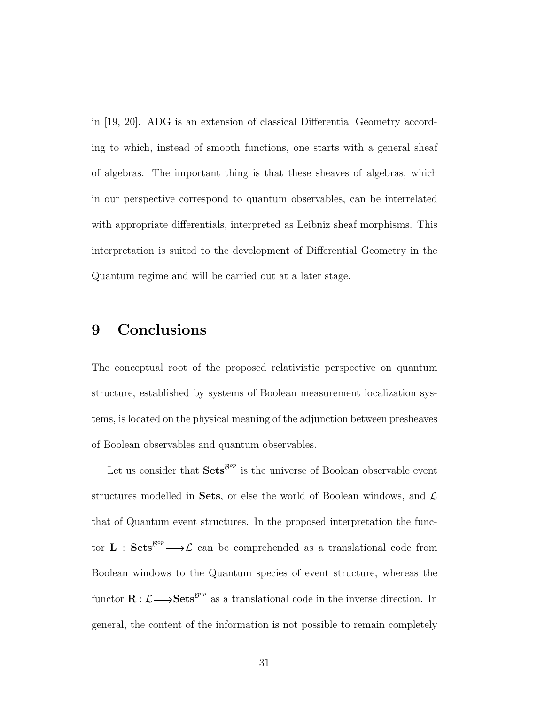in [19, 20]. ADG is an extension of classical Differential Geometry according to which, instead of smooth functions, one starts with a general sheaf of algebras. The important thing is that these sheaves of algebras, which in our perspective correspond to quantum observables, can be interrelated with appropriate differentials, interpreted as Leibniz sheaf morphisms. This interpretation is suited to the development of Differential Geometry in the Quantum regime and will be carried out at a later stage.

## 9 Conclusions

The conceptual root of the proposed relativistic perspective on quantum structure, established by systems of Boolean measurement localization systems, is located on the physical meaning of the adjunction between presheaves of Boolean observables and quantum observables.

Let us consider that  $\mathbf{Sets}^{\mathcal{B}^{op}}$  is the universe of Boolean observable event structures modelled in Sets, or else the world of Boolean windows, and  $\mathcal L$ that of Quantum event structures. In the proposed interpretation the functor **L** :  $\textbf{Sets}^{\text{Bop}} \longrightarrow \mathcal{L}$  can be comprehended as a translational code from Boolean windows to the Quantum species of event structure, whereas the functor  $\mathbf{R} : \mathcal{L} \longrightarrow \mathbf{Sets}^{\mathcal{B}^{op}}$  as a translational code in the inverse direction. In general, the content of the information is not possible to remain completely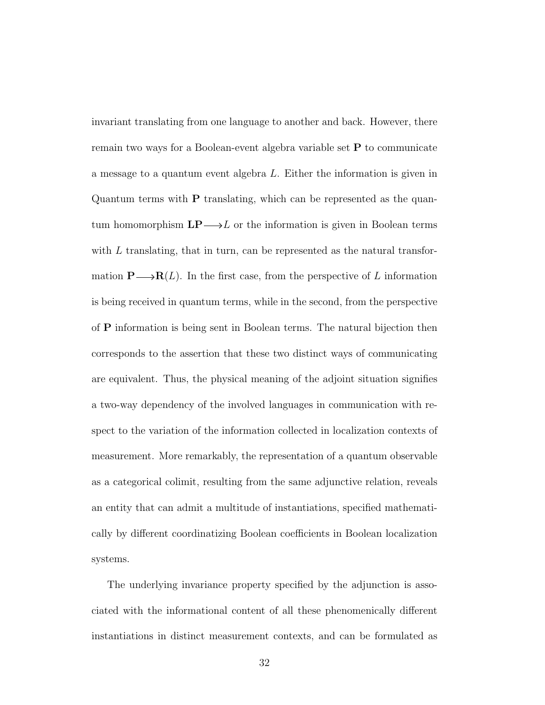invariant translating from one language to another and back. However, there remain two ways for a Boolean-event algebra variable set P to communicate a message to a quantum event algebra L. Either the information is given in Quantum terms with P translating, which can be represented as the quantum homomorphism  $\mathbf{LP} \longrightarrow L$  or the information is given in Boolean terms with  $L$  translating, that in turn, can be represented as the natural transformation  $\mathbf{P}\longrightarrow\mathbf{R}(L)$ . In the first case, from the perspective of L information is being received in quantum terms, while in the second, from the perspective of P information is being sent in Boolean terms. The natural bijection then corresponds to the assertion that these two distinct ways of communicating are equivalent. Thus, the physical meaning of the adjoint situation signifies a two-way dependency of the involved languages in communication with respect to the variation of the information collected in localization contexts of measurement. More remarkably, the representation of a quantum observable as a categorical colimit, resulting from the same adjunctive relation, reveals an entity that can admit a multitude of instantiations, specified mathematically by different coordinatizing Boolean coefficients in Boolean localization systems.

The underlying invariance property specified by the adjunction is associated with the informational content of all these phenomenically different instantiations in distinct measurement contexts, and can be formulated as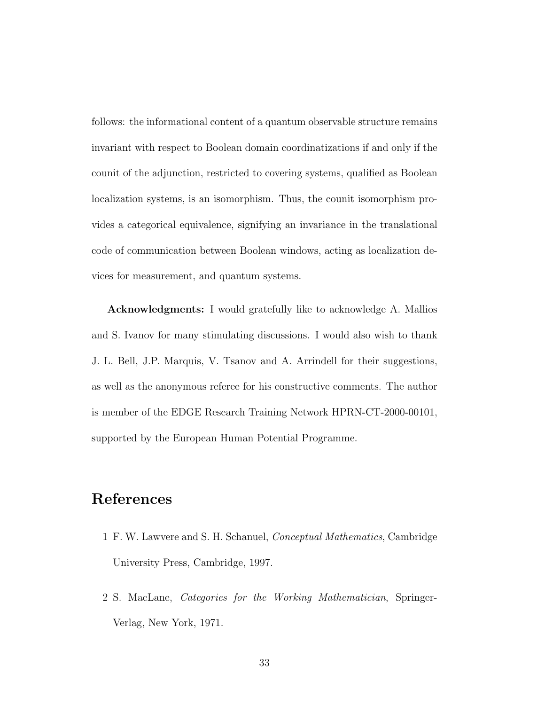follows: the informational content of a quantum observable structure remains invariant with respect to Boolean domain coordinatizations if and only if the counit of the adjunction, restricted to covering systems, qualified as Boolean localization systems, is an isomorphism. Thus, the counit isomorphism provides a categorical equivalence, signifying an invariance in the translational code of communication between Boolean windows, acting as localization devices for measurement, and quantum systems.

Acknowledgments: I would gratefully like to acknowledge A. Mallios and S. Ivanov for many stimulating discussions. I would also wish to thank J. L. Bell, J.P. Marquis, V. Tsanov and A. Arrindell for their suggestions, as well as the anonymous referee for his constructive comments. The author is member of the EDGE Research Training Network HPRN-CT-2000-00101, supported by the European Human Potential Programme.

## References

- 1 F. W. Lawvere and S. H. Schanuel, Conceptual Mathematics, Cambridge University Press, Cambridge, 1997.
- 2 S. MacLane, Categories for the Working Mathematician, Springer-Verlag, New York, 1971.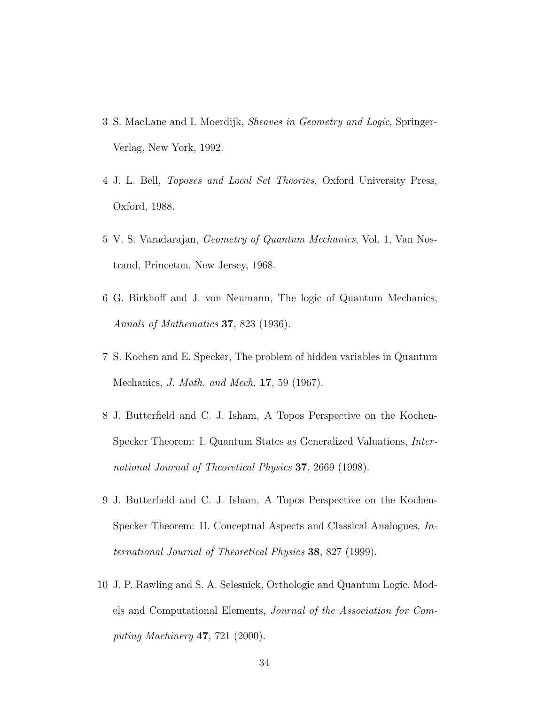- 3 S. MacLane and I. Moerdijk, Sheaves in Geometry and Logic, Springer-Verlag, New York, 1992.
- 4 J. L. Bell, Toposes and Local Set Theories, Oxford University Press, Oxford, 1988.
- 5 V. S. Varadarajan, Geometry of Quantum Mechanics, Vol. 1, Van Nostrand, Princeton, New Jersey, 1968.
- 6 G. Birkhoff and J. von Neumann, The logic of Quantum Mechanics, Annals of Mathematics 37, 823 (1936).
- 7 S. Kochen and E. Specker, The problem of hidden variables in Quantum Mechanics, J. Math. and Mech. 17, 59 (1967).
- 8 J. Butterfield and C. J. Isham, A Topos Perspective on the Kochen-Specker Theorem: I. Quantum States as Generalized Valuations, International Journal of Theoretical Physics 37, 2669 (1998).
- 9 J. Butterfield and C. J. Isham, A Topos Perspective on the Kochen-Specker Theorem: II. Conceptual Aspects and Classical Analogues, International Journal of Theoretical Physics 38, 827 (1999).
- 10 J. P. Rawling and S. A. Selesnick, Orthologic and Quantum Logic. Models and Computational Elements, Journal of the Association for Computing Machinery 47, 721 (2000).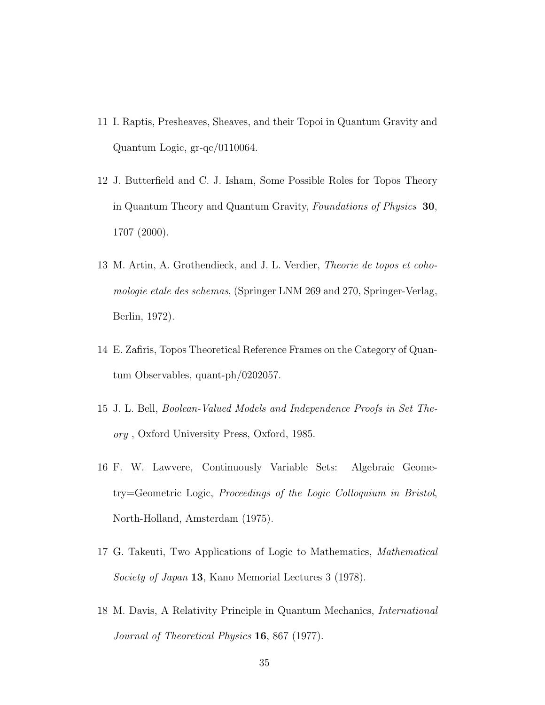- 11 I. Raptis, Presheaves, Sheaves, and their Topoi in Quantum Gravity and Quantum Logic, gr-qc/0110064.
- 12 J. Butterfield and C. J. Isham, Some Possible Roles for Topos Theory in Quantum Theory and Quantum Gravity, Foundations of Physics 30, 1707 (2000).
- 13 M. Artin, A. Grothendieck, and J. L. Verdier, Theorie de topos et cohomologie etale des schemas, (Springer LNM 269 and 270, Springer-Verlag, Berlin, 1972).
- 14 E. Zafiris, Topos Theoretical Reference Frames on the Category of Quantum Observables, quant-ph/0202057.
- 15 J. L. Bell, Boolean-Valued Models and Independence Proofs in Set Theory , Oxford University Press, Oxford, 1985.
- 16 F. W. Lawvere, Continuously Variable Sets: Algebraic Geometry=Geometric Logic, Proceedings of the Logic Colloquium in Bristol, North-Holland, Amsterdam (1975).
- 17 G. Takeuti, Two Applications of Logic to Mathematics, Mathematical Society of Japan 13, Kano Memorial Lectures 3 (1978).
- 18 M. Davis, A Relativity Principle in Quantum Mechanics, International Journal of Theoretical Physics 16, 867 (1977).